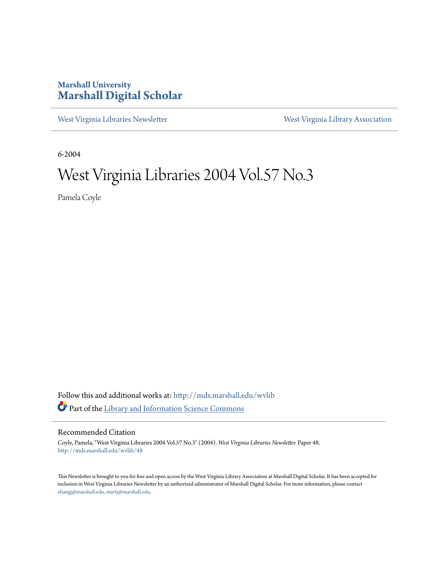### **Marshall University [Marshall Digital Scholar](http://mds.marshall.edu?utm_source=mds.marshall.edu%2Fwvlib%2F48&utm_medium=PDF&utm_campaign=PDFCoverPages)**

[West Virginia Libraries Newsletter](http://mds.marshall.edu/wvlib?utm_source=mds.marshall.edu%2Fwvlib%2F48&utm_medium=PDF&utm_campaign=PDFCoverPages) [West Virginia Library Association](http://mds.marshall.edu/wvla?utm_source=mds.marshall.edu%2Fwvlib%2F48&utm_medium=PDF&utm_campaign=PDFCoverPages)

6-2004

### West Virginia Libraries 2004 Vol.57 No.3

Pamela Coyle

Follow this and additional works at: [http://mds.marshall.edu/wvlib](http://mds.marshall.edu/wvlib?utm_source=mds.marshall.edu%2Fwvlib%2F48&utm_medium=PDF&utm_campaign=PDFCoverPages) Part of the [Library and Information Science Commons](http://network.bepress.com/hgg/discipline/1018?utm_source=mds.marshall.edu%2Fwvlib%2F48&utm_medium=PDF&utm_campaign=PDFCoverPages)

#### Recommended Citation

Coyle, Pamela, "West Virginia Libraries 2004 Vol.57 No.3" (2004). *West Virginia Libraries Newsletter.* Paper 48. [http://mds.marshall.edu/wvlib/48](http://mds.marshall.edu/wvlib/48?utm_source=mds.marshall.edu%2Fwvlib%2F48&utm_medium=PDF&utm_campaign=PDFCoverPages)

This Newsletter is brought to you for free and open access by the West Virginia Library Association at Marshall Digital Scholar. It has been accepted for inclusion in West Virginia Libraries Newsletter by an authorized administrator of Marshall Digital Scholar. For more information, please contact [zhangj@marshall.edu, martj@marshall.edu](mailto:zhangj@marshall.edu,%20martj@marshall.edu).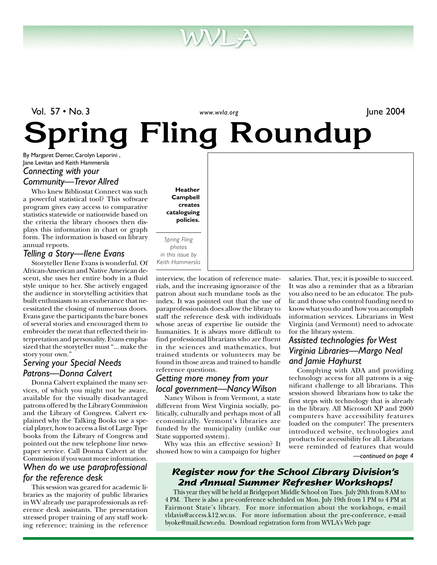# **Spring Fling Roundup**

By Margaret Demer, Carolyn Leporini , Jane Levitan and Keith Hammersla

### *Connecting with your Community—Trevor Allred*

Who knew Bibliostat Connect was such a powerful statistical tool? This software program gives easy access to comparative statistics statewide or nationwide based on the criteria the library chooses then displays this information in chart or graph form. The information is based on library annual reports.

### *Telling a Story—Ilene Evans*

Storyteller Ilene Evans is wonderful. Of African-American and Native American descent, she uses her entire body in a fluid style unique to her. She actively engaged the audience in storytelling activities that built enthusiasm to an exuberance that necessitated the closing of numerous doors. Evans gave the participants the bare bones of several stories and encouraged them to embroider the meat that reflected their interpretation and personality. Evans emphasized that the storyteller must "... make the story your own."

### *Serving your Special Needs Patrons—Donna Calvert*

Donna Calvert explained the many services, of which you might not be aware, available for the visually disadvantaged patrons offered by the Library Commission and the Library of Congress. Calvert explained why the Talking Books use a special player, how to access a list of Large Type books from the Library of Congress and pointed out the new telephone line newspaper service. Call Donna Calvert at the Commission if you want more information. *When do we use paraprofessional*

### *for the reference desk*

This session was geared for academic libraries as the majority of public libraries in WV already use paraprofessionals as reference desk assistants. The presentation stressed proper training of any staff working reference; training in the reference

Vol. 57 • No. 3 *www.wvla.org* June 2004

**Heather Campbell creates cataloguing policies.**

*Spring Fling photos in this issue by Keith Hammersla*

interview, the location of reference materials, and the increasing ignorance of the patron about such mundane tools as the index. It was pointed out that the use of paraprofessionals does allow the library to staff the reference desk with individuals whose areas of expertise lie outside the humanities. It is always more difficult to find professional librarians who are fluent in the sciences and mathematics, but trained students or volunteers may be found in those areas and trained to handle reference questions.

### *Getting more money from your local government—Nancy Wilson*

Nancy Wilson is from Vermont, a state different from West Virginia socially, politically, culturally and perhaps most of all economically. Vermont's libraries are funded by the municipality (unlike our State supported system).

Why was this an effective session? It showed how to win a campaign for higher

salaries. That, yes; it is possible to succeed. It was also a reminder that as a librarian you also need to be an educator. The public and those who control funding need to know what you do and how you accomplish information services. Librarians in West Virginia (and Vermont) need to advocate for the library system.

### *Assisted technologies for West Virginia Libraries—Margo Neal and Jamie Hayhurst*

Complying with ADA and providing technology access for all patrons is a significant challenge to all librarians. This session showed librarians how to take the first steps with technology that is already in the library. All Microsoft XP and 2000 computers have accessibility features loaded on the computer! The presenters introduced website, technologies and products for accessibility for all. Librarians were reminded of features that would *—continued on page 4*

### **Register now for the School Library Division's 2nd Annual Summer Refresher Workshops!**

This year they will be held at Bridgeport Middle School on Tues. July 20th from 8 AM to 4 PM. There is also a pre-conference scheduled on Mon. July 19th from 1 PM to 4 PM at Fairmont State's library. For more information about the workshops, e-mail vldavis@access.k12.wv.us. For more information about the pre-conference, e-mail byoke@mail.fscwv.edu. Download registration form from WVLA's Web page

1 June 2004 - Paul 2004 - Paul 2004 - Paul 2004 - Paul 2004 - Paul 2004 - Paul 2004 - Paul 2004 - Paul 2004 -<br>1904 - Paul 2004 - Paul 2004 - Paul 2004 - Paul 2004 - Paul 2004 - Paul 2004 - Paul 2004 - Paul 2004 - Paul 20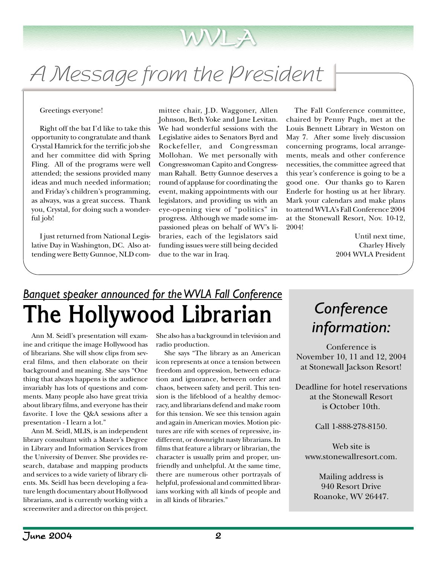

## A Message from the President

Greetings everyone!

Right off the bat I'd like to take this opportunity to congratulate and thank Crystal Hamrick for the terrific job she and her committee did with Spring Fling. All of the programs were well attended; the sessions provided many ideas and much needed information; and Friday's children's programming, as always, was a great success. Thank you, Crystal, for doing such a wonderful job!

I just returned from National Legislative Day in Washington, DC. Also attending were Betty Gunnoe, NLD committee chair, J.D. Waggoner, Allen Johnson, Beth Yoke and Jane Levitan. We had wonderful sessions with the Legislative aides to Senators Byrd and Rockefeller, and Congressman Mollohan. We met personally with Congresswoman Capito and Congressman Rahall. Betty Gunnoe deserves a round of applause for coordinating the event, making appointments with our legislators, and providing us with an eye-opening view of "politics" in progress. Although we made some impassioned pleas on behalf of WV's libraries, each of the legislators said funding issues were still being decided due to the war in Iraq.

The Fall Conference committee, chaired by Penny Pugh, met at the Louis Bennett Library in Weston on May 7. After some lively discussion concerning programs, local arrangements, meals and other conference necessities, the committee agreed that this year's conference is going to be a good one. Our thanks go to Karen Enderle for hosting us at her library. Mark your calendars and make plans to attend WVLA's Fall Conference 2004 at the Stonewall Resort, Nov. 10-12, 2004!

> Until next time, Charley Hively 2004 WVLA President

## *Banquet speaker announced for the WVLA Fall Conference* **The Hollywood Librarian**

Ann M. Seidl's presentation will examine and critique the image Hollywood has of librarians. She will show clips from several films, and then elaborate on their background and meaning. She says "One thing that always happens is the audience invariably has lots of questions and comments. Many people also have great trivia about library films, and everyone has their favorite. I love the Q&A sessions after a presentation - I learn a lot."

Ann M. Seidl, MLIS, is an independent library consultant with a Master's Degree in Library and Information Services from the University of Denver. She provides research, database and mapping products and services to a wide variety of library clients. Ms. Seidl has been developing a feature length documentary about Hollywood librarians, and is currently working with a screenwriter and a director on this project.

She also has a background in television and radio production.

She says "The library as an American icon represents at once a tension between freedom and oppression, between education and ignorance, between order and chaos, between safety and peril. This tension is the lifeblood of a healthy democracy, and librarians defend and make room for this tension. We see this tension again and again in American movies. Motion pictures are rife with scenes of repressive, indifferent, or downright nasty librarians. In films that feature a library or librarian, the character is usually prim and proper, unfriendly and unhelpful. At the same time, there are numerous other portrayals of helpful, professional and committed librarians working with all kinds of people and in all kinds of libraries."

### *Conference information:*

Conference is November 10, 11 and 12, 2004 at Stonewall Jackson Resort!

Deadline for hotel reservations at the Stonewall Resort is October 10th.

Call 1-888-278-8150.

Web site is www.stonewallresort.com.

> Mailing address is 940 Resort Drive Roanoke, WV 26447.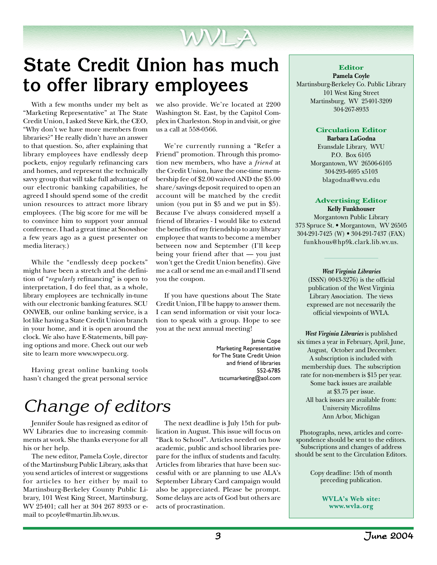

## **State Credit Union has much to offer library employees**

With a few months under my belt as "Marketing Representative" at The State Credit Union, I asked Steve Kirk, the CEO, "Why don't we have more members from libraries?" He really didn't have an answer to that question. So, after explaining that library employees have endlessly deep pockets, enjoy regularly refinancing cars and homes, and represent the technically savvy group that will take full advantage of our electronic banking capabilities, he agreed I should spend some of the credit union resources to attract more library employees. (The big score for me will be to convince him to support your annual conference. I had a great time at Snowshoe a few years ago as a guest presenter on media literacy.)

While the "endlessly deep pockets" might have been a stretch and the definition of "*regularly* refinancing" is open to interpretation, I do feel that, as a whole, library employees are technically in-tune with our electronic banking features. SCU ONWEB, our online banking service, is a lot like having a State Credit Union branch in your home, and it is open around the clock. We also have E-Statements, bill paying options and more. Check out our web site to learn more www.wvpecu.org.

Having great online banking tools hasn't changed the great personal service

we also provide. We're located at 2200 Washington St. East, by the Capitol Complex in Charleston. Stop in and visit, or give us a call at 558-0566.

We're currently running a "Refer a Friend" promotion. Through this promotion new members, who have a *friend* at the Credit Union, have the one-time membership fee of \$2.00 waived AND the \$5.00 share/savings deposit required to open an account will be matched by the credit union (you put in \$5 and we put in \$5). Because I've always considered myself a friend of libraries - I would like to extend the benefits of my friendship to any library employee that wants to become a member between now and September (I'll keep being your friend after that — you just won't get the Credit Union benefits). Give me a call or send me an e-mail and I'll send you the coupon.

If you have questions about The State Credit Union, I'll be happy to answer them. I can send information or visit your location to speak with a group. Hope to see you at the next annual meeting!

> Jamie Cope Marketing Representative for The State Credit Union and friend of libraries 552-6785 tscumarketing@aol.com

## *Change of editors*

Jennifer Soule has resigned as editor of WV Libraries due to increasing commitments at work. She thanks everyone for all his or her help.

The new editor, Pamela Coyle, director of the Martinsburg Public Library, asks that you send articles of interest or suggestions for articles to her either by mail to Martinsburg-Berkeley County Public Library, 101 West King Street, Martinsburg, WV 25401; call her at 304 267 8933 or email to pcoyle@martin.lib.wv.us.

The next deadline is July 15th for publication in August. This issue will focus on "Back to School". Articles needed on how academic, public and school libraries prepare for the influx of students and faculty. Articles from libraries that have been successful with or are planning to use ALA's September Library Card campaign would also be appreciated. Please be prompt. Some delays are acts of God but others are acts of procrastination.

### **Editor**

**Pamela Coyle** Martinsburg-Berkeley Co. Public Library 101 West King Street Martinsburg, WV 25401-3209 304-267-8933

### **Circulation Editor**

**Barbara LaGodna** Evansdale Library, WVU P.O. Box 6105 Morgantown, WV 26506-6105 304-293-4695 x5103 blagodna@wvu.edu

### **Advertising Editor**

**Kelly Funkhouser** Morgantown Public Library 373 Spruce St. • Morgantown, WV 26505 304-291-7425 (W) • 304-291-7437 (FAX) funkhous@hp9k.clark.lib.wv.us.

> *West Virginia Libraries* (ISSN) 0043-3276) is the official publication of the West Virginia Library Association. The views expressed are not necessarily the official viewpoints of WVLA.

*West Virginia Libraries* is published six times a year in February, April, June, August, October and December. A subscription is included with membership dues. The subscription rate for non-members is \$15 per year. Some back issues are available at \$3.75 per issue. All back issues are available from: University Microfilms Ann Arbor, Michigan

Photographs, news, articles and correspondence should be sent to the editors. Subscriptions and changes of address should be sent to the Circulation Editors.

> Copy deadline: 15th of month preceding publication.

> > **WVLA's Web site: www.wvla.org**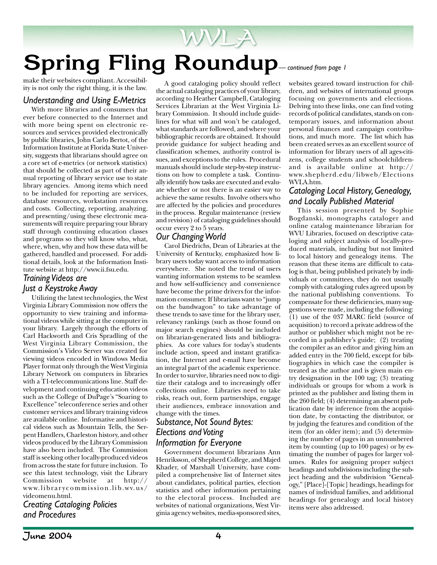## **Spring Fling Roundup***— continued from page 1*

make their websites compliant. Accessibility is not only the right thing, it is the law.

### *Understanding and Using E-Metrics*

With more libraries and consumers that ever before connected to the Internet and with more being spent on electronic resources and services provided electronically by public libraries, John Carlo Bertot, of the Information Institute at Florida State University, suggests that librarians should agree on a core set of e-metrics (or network statistics) that should be collected as part of their annual reporting of library service use to state library agencies. Among items which need to be included for reporting are services, database resources, workstation resources and costs. Collecting, reporting, analyzing, and presenting/using these electronic measurements will require preparing your library staff through continuing education classes and programs so they will know who, what, where, when, why and how these data will be gathered, handled and processed. For additional details, look at the Information Institute website at http://www.ii.fsu.edu.

### *Training Videos are Just a Keystroke Away*

Utilizing the latest technologies, the West Virginia Library Commission now offers the opportunity to view training and informational videos while sitting at the computer in your library. Largely through the efforts of Carl Hackworth and Cris Spradling of the West Virginia Library Commission, the Commission's Video Server was created for viewing videos encoded in Windows Media Player format only through the West Virginia Library Network on computers in libraries with a T1-telecommunications line. Staff development and continuing education videos such as the College of DuPage's "Soaring to Excellence" teleconference series and other customer services and library training videos are available online. Informative and historical videos such as Mountain Tells, the Serpent Handlers, Charleston history, and other videos produced by the Library Commission have also been included. The Commission staff is seeking other locally-produced videos from across the state for future inclusion. To see this latest technology, visit the Library Commission website at http:// www.librarycommission.lib.wv.us/ videomenu.html.

### *Creating Cataloging Policies and Procedures*

A good cataloging policy should reflect the actual cataloging practices of your library, according to Heather Campbell, Cataloging Services Librarian at the West Virginia Library Commission. It should include guidelines for what will and won't be cataloged, what standards are followed, and where your bibliographic records are obtained. It should provide guidance for subject heading and classification schemes, authority control issues, and exceptions to the rules. Procedural manuals should include step-by-step instructions on how to complete a task. Continually identify how tasks are executed and evaluate whether or not there is an easier way to achieve the same results. Involve others who are affected by the policies and procedures in the process. Regular maintenance (review and revision) of cataloging guidelines should occur every 2 to 5 years.

WVLA

### *Our Changing World*

Carol Diedrichs, Dean of Libraries at the University of Kentucky, emphasized how library users today want access to information everywhere. She noted the trend of users wanting information systems to be seamless and how self-sufficiency and convenience have become the prime drivers for the information consumer. If librarians want to "jump on the bandwagon" to take advantage of these trends to save time for the library user, relevancy rankings (such as those found on major search engines) should be included on librarian-generated lists and bibliographies. As core values for today's students include action, speed and instant gratification, the Internet and e-mail have become an integral part of the academic experience. In order to survive, libraries need now to digitize their catalogs and to increasingly offer collections online. Libraries need to take risks, reach out, form partnerships, engage their audiences, embrace innovation and change with the times.

### *Substance, Not Sound Bytes: Elections and Voting Information for Everyone*

Government document librarians Ann Henriksson, of Shepherd College, and Majed Khader, of Marshall University, have compiled a comprehensive list of Internet sites about candidates, political parties, election statistics and other information pertaining to the electoral process. Included are websites of national organizations, West Virginia agency websites, media-sponsored sites,

#### websites geared toward instruction for children, and websites of international groups focusing on governments and elections. Delving into these links, one can find voting records of political candidates, stands on contemporary issues, and information about personal finances and campaign contributions, and much more. The list which has been created serves as an excellent source of information for library users of all ages-citizens, college students and schoolchildrenand is available online at http:// www.shepherd.edu/libweb/Elections WVLA.htm.

### *Cataloging Local History, Genealogy, and Locally Published Material*

This session presented by Sophie Bogdanski, monographs cataloger and online catalog maintenance librarian for WVU Libraries, focused on descriptive cataloging and subject analysis of locally-produced materials, including but not limited to local history and genealogy items. The reason that these items are difficult to catalog is that, being published privately by individuals or committees, they do not usually comply with cataloging rules agreed upon by the national publishing conventions. To compensate for these deficiencies, many suggestions were made, including the following: (1) use of the 037 MARC field (source of acquisition) to record a private address of the author or publisher which might not be recorded in a publisher's guide; (2) treating the compiler as an editor and giving him an added entry in the 700 field, except for bibliographies in which case the compiler is treated as the author and is given main entry designation in the 100 tag; (3) treating individuals or groups for whom a work is printed as the publisher and listing them in the 260 field; (4) determining an absent publication date by inference from the acquisition date, by contacting the distributor, or by judging the features and condition of the item (for an older item); and (5) determining the number of pages in an unnumbered item by counting (up to 100 pages) or by estimating the number of pages for larger volumes. Rules for assigning proper subject headings and subdivisions including the subject heading and the subdivision "Genealogy," [Place]-[Topic] headings, headings for names of individual families, and additional headings for genealogy and local history items were also addressed.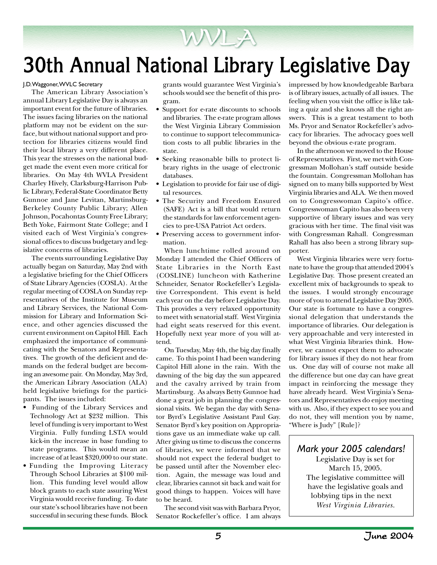

## **30th Annual National Library Legislative Day**

#### J.D. Waggoner, WVLC Secretary

The American Library Association's annual Library Legislative Day is always an important event for the future of libraries. The issues facing libraries on the national platform may not be evident on the surface, but without national support and protection for libraries citizens would find their local library a very different place. This year the stresses on the national budget made the event even more critical for libraries. On May 4th WVLA President Charley Hively, Clarksburg-Harrison Public Library, Federal-State Coordinator Betty Gunnoe and Jane Levitan, Martinsburg-Berkeley County Public Library; Allen Johnson, Pocahontas County Free Library; Beth Yoke, Fairmont State College; and I visited each of West Virginia's congressional offices to discuss budgetary and legislative concerns of libraries.

The events surrounding Legislative Day actually began on Saturday, May 2nd with a legislative briefing for the Chief Officers of State Library Agencies (COSLA). At the regular meeting of COSLA on Sunday representatives of the Institute for Museum and Library Services, the National Commission for Library and Information Science, and other agencies discussed the current environment on Capitol Hill. Each emphasized the importance of communicating with the Senators and Representatives. The growth of the deficient and demands on the federal budget are becoming an awesome pair. On Monday, May 3rd, the American Library Association (ALA) held legislative briefings for the participants. The issues included:

- Funding of the Library Services and Technology Act at \$232 million. This level of funding is very important to West Virginia. Fully funding LSTA would kick-in the increase in base funding to state programs. This would mean an increase of at least \$320,000 to our state.
- Funding the Improving Literacy Through School Libraries at \$100 million. This funding level would allow block grants to each state assuring West Virginia would receive funding. To date our state's school libraries have not been successful in securing these funds. Block

grants would guarantee West Virginia's schools would see the benefit of this program.

- Support for e-rate discounts to schools and libraries. The e-rate program allows the West Virginia Library Commission to continue to support telecommunication costs to all public libraries in the state.
- Seeking reasonable bills to protect library rights in the usage of electronic databases.
- Legislation to provide for fair use of digital resources.
- The Security and Freedom Ensured (SAFE) Act is a bill that would return the standards for law enforcement agencies to pre-USA Patriot Act orders.
- Preserving access to government information.

When lunchtime rolled around on Monday I attended the Chief Officers of State Libraries in the North East (COSLINE) luncheon with Katherine Schneider, Senator Rockefeller's Legislative Correspondent. This event is held each year on the day before Legislative Day. This provides a very relaxed opportunity to meet with senatorial staff. West Virginia had eight seats reserved for this event. Hopefully next year more of you will attend.

On Tuesday, May 4th, the big day finally came. To this point I had been wandering Capitol Hill alone in the rain. With the dawning of the big day the sun appeared and the cavalry arrived by train from Martinsburg. As always Betty Gunnoe had done a great job in planning the congressional visits. We began the day with Senator Byrd's Legislative Assistant Paul Gay. Senator Byrd's key position on Appropriations gave us an immediate wake up call. After giving us time to discuss the concerns of libraries, we were informed that we should not expect the federal budget to be passed until after the November election. Again, the message was loud and clear, libraries cannot sit back and wait for good things to happen. Voices will have to be heard.

The second visit was with Barbara Pryor, Senator Rockefeller's office. I am always

impressed by how knowledgeable Barbara is of library issues, actually of all issues. The feeling when you visit the office is like taking a quiz and she knows all the right answers. This is a great testament to both Ms. Pryor and Senator Rockefeller's advocacy for libraries. The advocacy goes well beyond the obvious e-rate program.

In the afternoon we moved to the House of Representatives. First, we met with Congressman Mollohan's staff outside beside the fountain. Congressman Mollohan has signed on to many bills supported by West Virginia libraries and ALA. We then moved on to Congresswoman Capito's office. Congresswoman Capito has also been very supportive of library issues and was very gracious with her time. The final visit was with Congressman Rahall. Congressman Rahall has also been a strong library supporter.

West Virginia libraries were very fortunate to have the group that attended 2004's Legislative Day. Those present created an excellent mix of backgrounds to speak to the issues. I would strongly encourage more of you to attend Legislative Day 2005. Our state is fortunate to have a congressional delegation that understands the importance of libraries. Our delegation is very approachable and very interested in what West Virginia libraries think. However, we cannot expect them to advocate for library issues if they do not hear from us. One day will of course not make all the difference but one day can have great impact in reinforcing the message they have already heard. West Virginia's Senators and Representatives do enjoy meeting with us. Also, if they expect to see you and do not, they will mention you by name, "Where is Judy" [Rule]?

*Mark your 2005 calendars!* Legislative Day is set for March 15, 2005. The legislative committee will have the legislative goals and lobbying tips in the next *West Virginia Libraries*.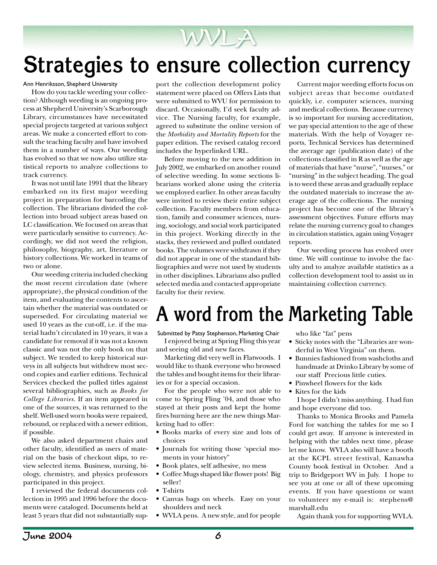## **Strategies to ensure collection currency**

WVLA

Ann Henriksson, Shepherd University

How do you tackle weeding your collection? Although weeding is an ongoing process at Shepherd University's Scarborough Library, circumstances have necessitated special projects targeted at various subject areas. We make a concerted effort to consult the teaching faculty and have involved them in a number of ways. Our weeding has evolved so that we now also utilize statistical reports to analyze collections to track currency.

It was not until late 1991 that the library embarked on its first major weeding project in preparation for barcoding the collection. The librarians divided the collection into broad subject areas based on LC classification. We focused on areas that were particularly sensitive to currency. Accordingly, we did not weed the religion, philosophy, biography, art, literature or history collections. We worked in teams of two or alone.

Our weeding criteria included checking the most recent circulation date (where appropriate), the physical condition of the item, and evaluating the contents to ascertain whether the material was outdated or superseded. For circulating material we used 10 years as the cut-off, i.e. if the material hadn't circulated in 10 years, it was a candidate for removal if it was not a known classic and was not the only book on that subject. We tended to keep historical surveys in all subjects but withdrew most second copies and earlier editions. Technical Services checked the pulled titles against several bibliographies, such as *Books for College Libraries*. If an item appeared in one of the sources, it was returned to the shelf. Well-used worn books were repaired, rebound, or replaced with a newer edition, if possible.

We also asked department chairs and other faculty, identified as users of material on the basis of checkout slips, to review selected items. Business, nursing, biology, chemistry, and physics professors participated in this project.

I reviewed the federal documents collection in 1995 and 1996 before the documents were cataloged. Documents held at least 5 years that did not substantially support the collection development policy statement were placed on Offers Lists that were submitted to WVU for permission to discard. Occasionally, I'd seek faculty advice. The Nursing faculty, for example, agreed to substitute the online version of the *Morbidity and Mortality Reports* for the paper edition. The revised catalog record includes the hyperlinked URL.

Before moving to the new addition in July 2002, we embarked on another round of selective weeding. In some sections librarians worked alone using the criteria we employed earlier. In other areas faculty were invited to review their entire subject collection. Faculty members from education, family and consumer sciences, nursing, sociology, and social work participated in this project. Working directly in the stacks, they reviewed and pulled outdated books. The volumes were withdrawn if they did not appear in one of the standard bibliographies and were not used by students in other disciplines. Librarians also pulled selected media and contacted appropriate faculty for their review.

Current major weeding efforts focus on subject areas that become outdated quickly, i.e. computer sciences, nursing and medical collections. Because currency is so important for nursing accreditation, we pay special attention to the age of these materials. With the help of Voyager reports, Technical Services has determined the average age (publication date) of the collections classified in R as well as the age of materials that have "nurse", "nurses," or "nursing" in the subject heading. The goal is to weed these areas and gradually replace the outdated materials to increase the average age of the collections. The nursing project has become one of the library's assessment objectives. Future efforts may relate the nursing currency goal to changes in circulation statistics, again using Voyager reports.

Our weeding process has evolved over time. We will continue to involve the faculty and to analyze available statistics as a collection development tool to assist us in maintaining collection currency.

## **A word from the Marketing Table**

Submitted by Patsy Stephenson, Marketing Chair

I enjoyed being at Spring Fling this year and seeing old and new faces.

Marketing did very well in Flatwoods. I would like to thank everyone who browsed the tables and bought items for their libraries or for a special occasion.

For the people who were not able to come to Spring Fling '04, and those who stayed at their posts and kept the home fires burning here are the new things Marketing had to offer:

- Books marks of every size and lots of choices
- Journals for writing those 'special moments in your history"
- Book plates, self adhesive, no mess
- Coffee Mugs shaped like flower pots! Big seller!
- T-shirts
- Canvas bags on wheels. Easy on your shoulders and neck
- WVLA pens. A new style, and for people

who like "fat" pens

- Sticky notes with the "Libraries are wonderful in West Virginia" on them.
- Bunnies fashioned from washcloths and handmade at Drinko Library by some of our staff Precious little cuties.
- Pinwheel flowers for the kids
- Kites for the kids

I hope I didn't miss anything. I had fun and hope everyone did too.

Thanks to Monica Brooks and Pamela Ford for watching the tables for me so I could get away. If anyone is interested in helping with the tables next time, please let me know. WVLA also will have a booth at the KCPL street festival, Kanawha County book festival in October. And a trip to Bridgeport WV in July. I hope to see you at one or all of these upcoming events. If you have questions or want to volunteer my e-mail is: stephens@ marshall.edu

Again thank you for supporting WVLA.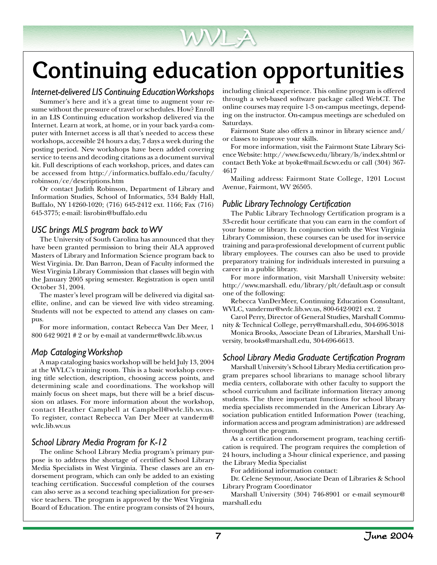

### *Internet-delivered LIS Continuing Education Workshops*

Summer's here and it's a great time to augment your resume without the pressure of travel or schedules. How? Enroll in an LIS Continuing education workshop delivered via the Internet. Learn at work, at home, or in your back yard-a computer with Internet access is all that's needed to access these workshops, accessible 24 hours a day, 7 days a week during the posting period. New workshops have been added covering service to teens and decoding citations as a document survival kit. Full descriptions of each workshop, prices, and dates can be accessed from http://informatics.buffalo.edu/faculty/ robinson/ce/descriptions.htm

Or contact Judith Robinson, Department of Library and Information Studies, School of Informatics, 534 Baldy Hall, Buffalo, NY 14260-1020; (716) 645-2412 ext. 1166; Fax (716) 645-3775; e-mail: lisrobin@buffalo.edu

### *USC brings MLS program back to WV*

The University of South Carolina has announced that they have been granted permission to bring their ALA approved Masters of Library and Information Science program back to West Virginia. Dr. Dan Barron, Dean of Faculty informed the West Virginia Library Commission that classes will begin with the January 2005 spring semester. Registration is open until October 31, 2004.

The master's level program will be delivered via digital satellite, online, and can be viewed live with video streaming. Students will not be expected to attend any classes on campus.

For more information, contact Rebecca Van Der Meer, 1 800 642 9021 # 2 or by e-mail at vandermr@wvlc.lib.wv.us

### *Map Cataloging Workshop*

A map cataloging basics workshop will be held July 13, 2004 at the WVLC's training room. This is a basic workshop covering title selection, description, choosing access points, and determining scale and coordinations. The workshop will mainly focus on sheet maps, but there will be a brief discussion on atlases. For more information about the workshop, contact Heather Campbell at Campbell@wvlc.lib.wv.us. To register, contact Rebecca Van Der Meer at vanderm@ wvlc.lib.wv.us

### *School Library Media Program for K-12*

The online School Library Media program's primary purpose is to address the shortage of certified School Library Media Specialists in West Virginia. These classes are an endorsement program, which can only be added to an existing teaching certification. Successful completion of the courses can also serve as a second teaching specialization for pre-service teachers. The program is approved by the West Virginia Board of Education. The entire program consists of 24 hours,

including clinical experience. This online program is offered through a web-based software package called WebCT. The online courses may require 1-3 on-campus meetings, depending on the instructor. On-campus meetings are scheduled on Saturdays.

Fairmont State also offers a minor in library science and/ or classes to improve your skills.

For more information, visit the Fairmont State Library Science Website: http://www.fscwv.edu/library/ls/index.shtml or contact Beth Yoke at byoke@mail.fscwv.edu or call (304) 367- 4617

Mailing address: Fairmont State College, 1201 Locust Avenue, Fairmont, WV 26505.

### *Public Library Technology Certification*

The Public Library Technology Certification program is a 33-credit hour certificate that you can earn in the comfort of your home or library. In conjunction with the West Virginia Library Commission, these courses can be used for in-service training and para-professional development of current public library employees. The courses can also be used to provide preparatory training for individuals interested in pursuing a career in a public library.

For more information, visit Marshall University website: http://www.marshall. edu/library/plt/default.asp or consult one of the following:

Rebecca VanDerMeer, Continuing Education Consultant, WVLC, vandermr@wvlc.lib.wv.us, 800-642-9021 ext. 2

Carol Perry, Director of General Studies, Marshall Community & Technical College, perry@marshall.edu, 304-696-3018

Monica Brooks, Associate Dean of Libraries, Marshall University, brooks@marshall.edu, 304-696-6613.

### *School Library Media Graduate Certification Program*

Marshall University's School Library Media certification program prepares school librarians to manage school library media centers, collaborate with other faculty to support the school curriculum and facilitate information literacy among students. The three important functions for school library media specialists recommended in the American Library Association publication entitled Information Power (teaching, information access and program administration) are addressed throughout the program.

As a certification endorsement program, teaching certification is required. The program requires the completion of 24 hours, including a 3-hour clinical experience, and passing the Library Media Specialist

For additional information contact:

Dr. Celene Seymour, Associate Dean of Libraries & School Library Program Coordinator

Marshall University (304) 746-8901 or e-mail seymour@ marshall.edu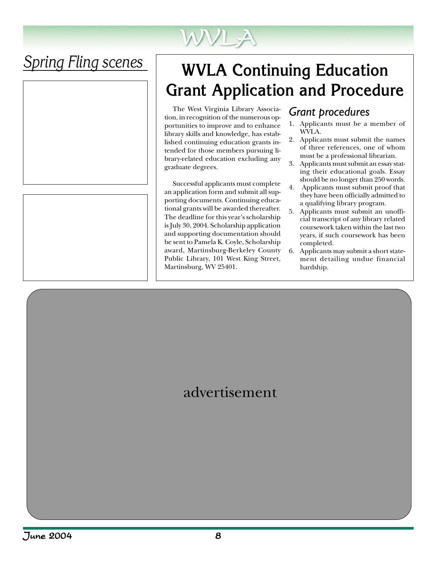## *Spring Fling scenes*

## **WVLA Continuing Education Grant Application and Procedure**

The West Virginia Library Association, in recognition of the numerous opportunities to improve and to enhance library skills and knowledge, has established continuing education grants intended for those members pursuing library-related education excluding any graduate degrees.

WVLA

Successful applicants must complete an application form and submit all supporting documents. Continuing educational grants will be awarded thereafter. The deadline for this year's scholarship is July 30, 2004. Scholarship application and supporting documentation should be sent to Pamela K. Coyle, Scholarship award, Martinsburg-Berkeley County Public Library, 101 West King Street, Martinsburg, WV 25401.

### *Grant procedures*

- 1. Applicants must be a member of WVLA.
- 2. Applicants must submit the names of three references, one of whom must be a professional librarian.
- 3. Applicants must submit an essay stating their educational goals. Essay should be no longer than 250 words.
- 4. Applicants must submit proof that they have been officially admitted to a qualifying library program.
- 5. Applicants must submit an unofficial transcript of any library related coursework taken within the last two years, if such coursework has been completed.
- 6. Applicants may submit a short statement detailing undue financial hardship.

### advertisement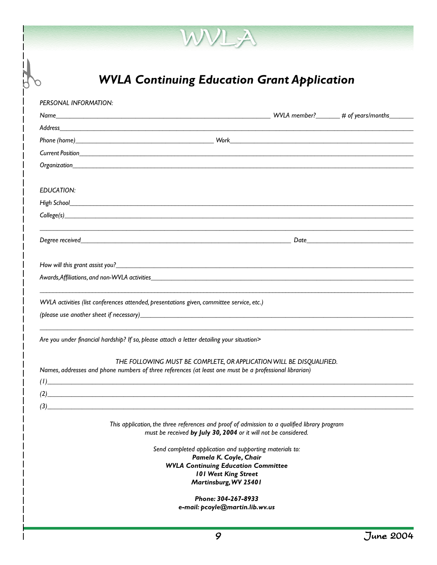### *WVLA Continuing Education Grant Application*

WVLA

 $\frac{1}{2}$ 

| PERSONAL INFORMATION:                                                                                                                                                            |  |
|----------------------------------------------------------------------------------------------------------------------------------------------------------------------------------|--|
|                                                                                                                                                                                  |  |
|                                                                                                                                                                                  |  |
|                                                                                                                                                                                  |  |
|                                                                                                                                                                                  |  |
|                                                                                                                                                                                  |  |
| <b>EDUCATION:</b>                                                                                                                                                                |  |
|                                                                                                                                                                                  |  |
|                                                                                                                                                                                  |  |
|                                                                                                                                                                                  |  |
|                                                                                                                                                                                  |  |
|                                                                                                                                                                                  |  |
| WVLA activities (list conferences attended, presentations given, committee service, etc.)                                                                                        |  |
| Are you under financial hardship? If so, please attach a letter detailing your situation>                                                                                        |  |
| THE FOLLOWING MUST BE COMPLETE, OR APPLICATION WILL BE DISQUALIFIED.<br>Names, addresses and phone numbers of three references (at least one must be a professional librarian)   |  |
| (2)                                                                                                                                                                              |  |
| $\left(3\right)$                                                                                                                                                                 |  |
| This application, the three references and proof of admission to a qualified library program<br>must be received by July 30, 2004 or it will not be considered.                  |  |
| Send completed application and supporting materials to:<br>Pamela K. Coyle, Chair<br><b>WVLA Continuing Education Committee</b><br>101 West King Street<br>Martinsburg, WV 25401 |  |
| Phone: 304-267-8933<br>e-mail: pcoyle@martin.lib.wv.us                                                                                                                           |  |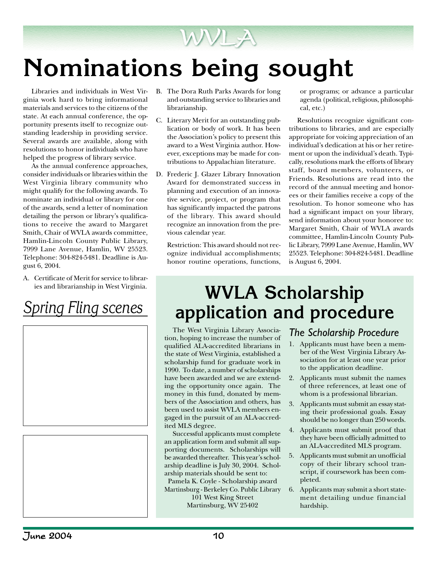

## **Nominations being sought**

Libraries and individuals in West Virginia work hard to bring informational materials and services to the citizens of the state. At each annual conference, the opportunity presents itself to recognize outstanding leadership in providing service. Several awards are available, along with resolutions to honor individuals who have helped the progress of library service.

As the annual conference approaches, consider individuals or libraries within the West Virginia library community who might qualify for the following awards. To nominate an individual or library for one of the awards, send a letter of nomination detailing the person or library's qualifications to receive the award to Margaret Smith, Chair of WVLA awards committee, Hamlin-Lincoln County Public Library, 7999 Lane Avenue, Hamlin, WV 25523. Telephone: 304-824-5481. Deadline is August 6, 2004.

A. Certificate of Merit for service to libraries and librarianship in West Virginia.

## *Spring Fling scenes*

- 
- 
- B. The Dora Ruth Parks Awards for long and outstanding service to libraries and librarianship.
- C. Literary Merit for an outstanding publication or body of work. It has been the Association's policy to present this award to a West Virginia author. However, exceptions may be made for contributions to Appalachian literature.
- D. Frederic J. Glazer Library Innovation Award for demonstrated success in planning and execution of an innovative service, project, or program that has significantly impacted the patrons of the library. This award should recognize an innovation from the previous calendar year.

Restriction: This award should not recognize individual accomplishments; honor routine operations, functions,

or programs; or advance a particular agenda (political, religious, philosophical, etc.)

Resolutions recognize significant contributions to libraries, and are especially appropriate for voicing appreciation of an individual's dedication at his or her retirement or upon the individual's death. Typically, resolutions mark the efforts of library staff, board members, volunteers, or Friends. Resolutions are read into the record of the annual meeting and honorees or their families receive a copy of the resolution. To honor someone who has had a significant impact on your library, send information about your honoree to: Margaret Smith, Chair of WVLA awards committee, Hamlin-Lincoln County Public Library, 7999 Lane Avenue, Hamlin, WV 25523. Telephone: 304-824-5481. Deadline is August 6, 2004.

## **WVLA Scholarship application and procedure**

The West Virginia Library Association, hoping to increase the number of qualified ALA-accredited librarians in the state of West Virginia, established a scholarship fund for graduate work in 1990. To date, a number of scholarships have been awarded and we are extending the opportunity once again. The money in this fund, donated by members of the Association and others, has been used to assist WVLA members engaged in the pursuit of an ALA-accredited MLS degree.

Successful applicants must complete an application form and submit all supporting documents. Scholarships will be awarded thereafter. This year's scholarship deadline is July 30, 2004. Scholarship materials should be sent to:

Pamela K. Coyle - Scholarship award Martinsburg - Berkeley Co. Public Library 101 West King Street Martinsburg, WV 25402

### *The Scholarship Procedure*

- 1. Applicants must have been a member of the West Virginia Library Association for at least one year prior to the application deadline.
- 2. Applicants must submit the names of three references, at least one of whom is a professional librarian.
- 3. Applicants must submit an essay stating their professional goals. Essay should be no longer than 250 words.
- 4. Applicants must submit proof that they have been officially admitted to an ALA-accredited MLS program.
- 5. Applicants must submit an unofficial copy of their library school transcript, if coursework has been completed.
- 6. Applicants may submit a short statement detailing undue financial hardship.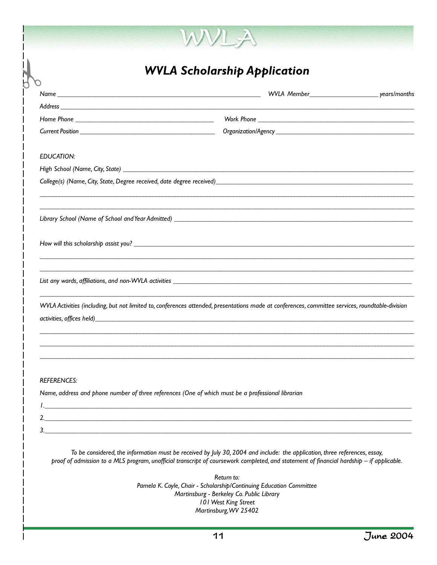## *WVLA Scholarship Application*

WVLA

| <b>EDUCATION:</b>                                                                                                       |                                                                                                                                                  |  |
|-------------------------------------------------------------------------------------------------------------------------|--------------------------------------------------------------------------------------------------------------------------------------------------|--|
|                                                                                                                         |                                                                                                                                                  |  |
|                                                                                                                         |                                                                                                                                                  |  |
|                                                                                                                         |                                                                                                                                                  |  |
|                                                                                                                         |                                                                                                                                                  |  |
|                                                                                                                         | WVLA Activities (including, but not limited to, conferences attended, presentations made at conferences, committee services, roundtable-division |  |
|                                                                                                                         |                                                                                                                                                  |  |
|                                                                                                                         |                                                                                                                                                  |  |
|                                                                                                                         |                                                                                                                                                  |  |
|                                                                                                                         |                                                                                                                                                  |  |
|                                                                                                                         |                                                                                                                                                  |  |
| <b>REFERENCES:</b><br>Name, address and phone number of three references (One of which must be a professional librarian |                                                                                                                                                  |  |

*Martinsburg - Berkeley Co. Public Library 101 West King Street*

*Martinsburg, WV 25402*